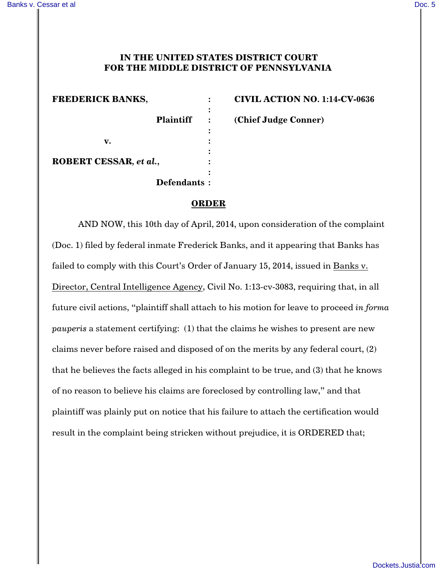## **IN THE UNITED STATES DISTRICT COURT FOR THE MIDDLE DISTRICT OF PENNSYLVANIA**

**:**

**:**

**:**

**:**

**FREDERICK BANKS, : CIVIL ACTION NO. 1:14-CV-0636 Plaintiff : (Chief Judge Conner) v. : ROBERT CESSAR***, et al.***, : Defendants :**

**ORDER**

AND NOW, this 10th day of April, 2014, upon consideration of the complaint (Doc. 1) filed by federal inmate Frederick Banks, and it appearing that Banks has failed to comply with this Court's Order of January 15, 2014, issued in Banks v. Director, Central Intelligence Agency, Civil No. 1:13-cv-3083, requiring that, in all future civil actions, "plaintiff shall attach to his motion for leave to proceed *in forma pauperis* a statement certifying: (1) that the claims he wishes to present are new claims never before raised and disposed of on the merits by any federal court, (2) that he believes the facts alleged in his complaint to be true, and (3) that he knows of no reason to believe his claims are foreclosed by controlling law," and that plaintiff was plainly put on notice that his failure to attach the certification would result in the complaint being stricken without prejudice, it is ORDERED that;